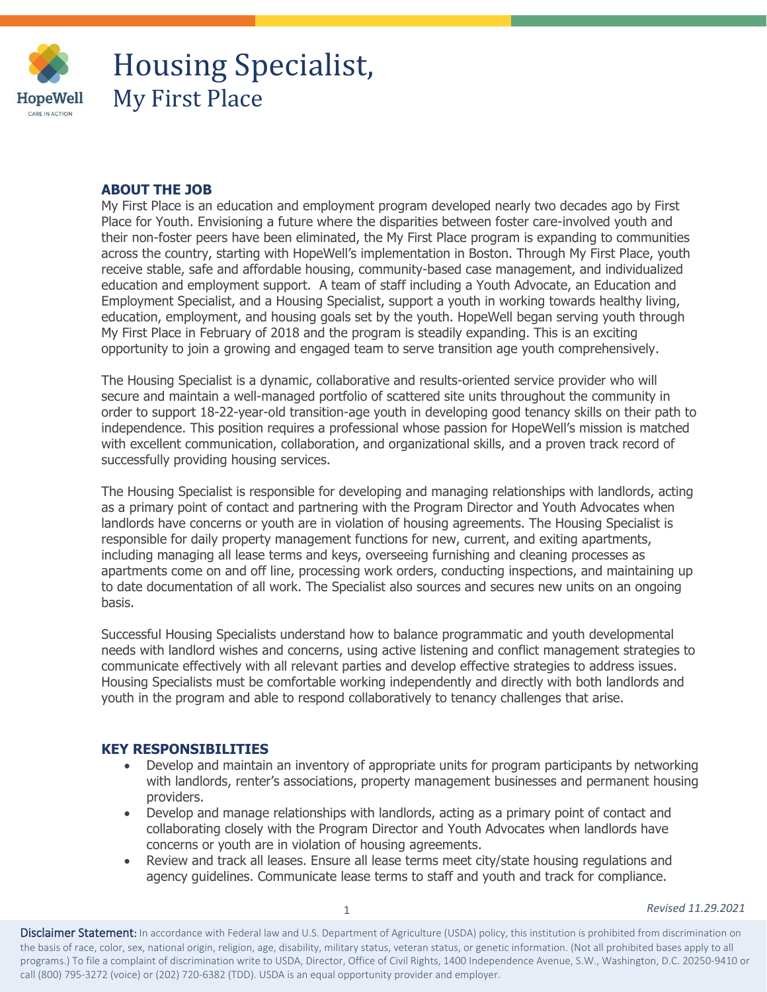

# Housing Specialist, My First Place

#### **ABOUT THE JOB**

My First Place is an education and employment program developed nearly two decades ago by First Place for Youth. Envisioning a future where the disparities between foster care-involved youth and their non-foster peers have been eliminated, the My First Place program is expanding to communities across the country, starting with HopeWell's implementation in Boston. Through My First Place, youth receive stable, safe and affordable housing, community-based case management, and individualized education and employment support. A team of staff including a Youth Advocate, an Education and Employment Specialist, and a Housing Specialist, support a youth in working towards healthy living, education, employment, and housing goals set by the youth. HopeWell began serving youth through My First Place in February of 2018 and the program is steadily expanding. This is an exciting opportunity to join a growing and engaged team to serve transition age youth comprehensively.

The Housing Specialist is a dynamic, collaborative and results-oriented service provider who will secure and maintain a well-managed portfolio of scattered site units throughout the community in order to support 18-22-year-old transition-age youth in developing good tenancy skills on their path to independence. This position requires a professional whose passion for HopeWell's mission is matched with excellent communication, collaboration, and organizational skills, and a proven track record of successfully providing housing services.

The Housing Specialist is responsible for developing and managing relationships with landlords, acting as a primary point of contact and partnering with the Program Director and Youth Advocates when landlords have concerns or youth are in violation of housing agreements. The Housing Specialist is responsible for daily property management functions for new, current, and exiting apartments, including managing all lease terms and keys, overseeing furnishing and cleaning processes as apartments come on and off line, processing work orders, conducting inspections, and maintaining up to date documentation of all work. The Specialist also sources and secures new units on an ongoing basis.

Successful Housing Specialists understand how to balance programmatic and youth developmental needs with landlord wishes and concerns, using active listening and conflict management strategies to communicate effectively with all relevant parties and develop effective strategies to address issues. Housing Specialists must be comfortable working independently and directly with both landlords and youth in the program and able to respond collaboratively to tenancy challenges that arise.

### **KEY RESPONSIBILITIES**

- Develop and maintain an inventory of appropriate units for program participants by networking with landlords, renter's associations, property management businesses and permanent housing providers.
- Develop and manage relationships with landlords, acting as a primary point of contact and collaborating closely with the Program Director and Youth Advocates when landlords have concerns or youth are in violation of housing agreements.
- Review and track all leases. Ensure all lease terms meet city/state housing regulations and agency guidelines. Communicate lease terms to staff and youth and track for compliance.

*Revised 11.29.2021*

Disclaimer Statement: In accordance with Federal law and U.S. Department of Agriculture (USDA) policy, this institution is prohibited from discrimination on the basis of race, color, sex, national origin, religion, age, disability, military status, veteran status, or genetic information. (Not all prohibited bases apply to all programs.) To file a complaint of discrimination write to USDA, Director, Office of Civil Rights, 1400 Independence Avenue, S.W., Washington, D.C. 20250-9410 or call (800) 795-3272 (voice) or (202) 720-6382 (TDD). USDA is an equal opportunity provider and employer.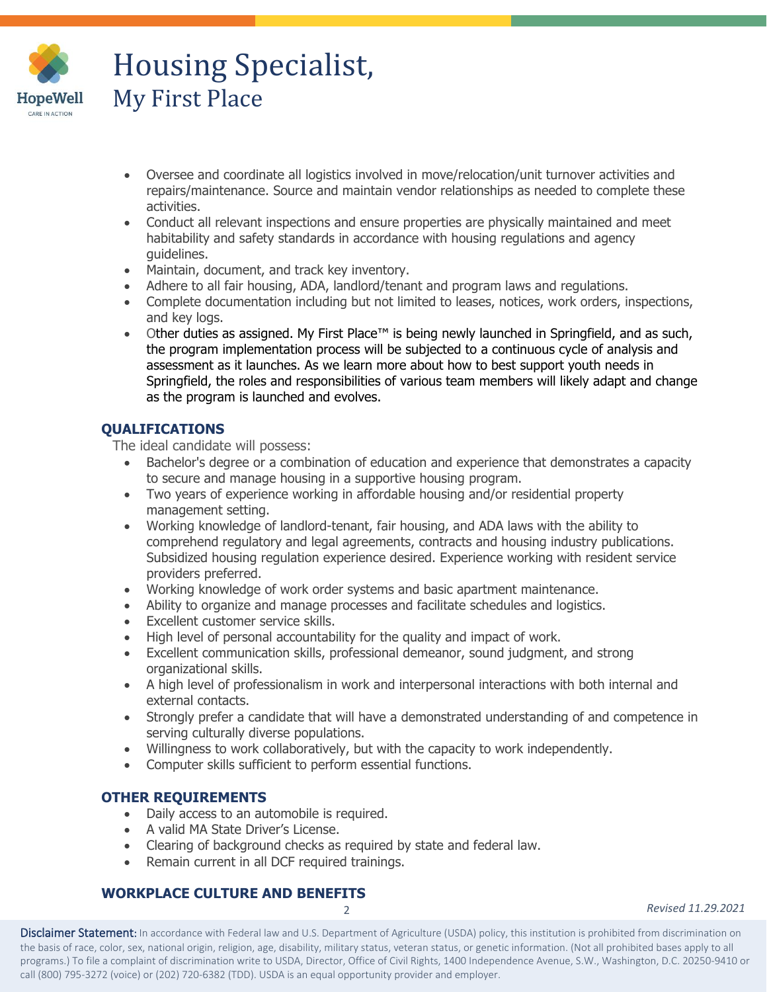

## Housing Specialist, My First Place

- Oversee and coordinate all logistics involved in move/relocation/unit turnover activities and repairs/maintenance. Source and maintain vendor relationships as needed to complete these activities.
- Conduct all relevant inspections and ensure properties are physically maintained and meet habitability and safety standards in accordance with housing regulations and agency guidelines.
- Maintain, document, and track key inventory.
- Adhere to all fair housing, ADA, landlord/tenant and program laws and regulations.
- Complete documentation including but not limited to leases, notices, work orders, inspections, and key logs.
- Other duties as assigned. My First Place™ is being newly launched in Springfield, and as such, the program implementation process will be subjected to a continuous cycle of analysis and assessment as it launches. As we learn more about how to best support youth needs in Springfield, the roles and responsibilities of various team members will likely adapt and change as the program is launched and evolves.

## **QUALIFICATIONS**

The ideal candidate will possess:

- Bachelor's degree or a combination of education and experience that demonstrates a capacity to secure and manage housing in a supportive housing program.
- Two years of experience working in affordable housing and/or residential property management setting.
- Working knowledge of landlord-tenant, fair housing, and ADA laws with the ability to comprehend regulatory and legal agreements, contracts and housing industry publications. Subsidized housing regulation experience desired. Experience working with resident service providers preferred.
- Working knowledge of work order systems and basic apartment maintenance.
- Ability to organize and manage processes and facilitate schedules and logistics.
- Excellent customer service skills.
- High level of personal accountability for the quality and impact of work.
- Excellent communication skills, professional demeanor, sound judgment, and strong organizational skills.
- A high level of professionalism in work and interpersonal interactions with both internal and external contacts.
- Strongly prefer a candidate that will have a demonstrated understanding of and competence in serving culturally diverse populations.
- Willingness to work collaboratively, but with the capacity to work independently.
- Computer skills sufficient to perform essential functions.

### **OTHER REQUIREMENTS**

- Daily access to an automobile is required.
- A valid MA State Driver's License.
- Clearing of background checks as required by state and federal law.
- Remain current in all DCF required trainings.

## **WORKPLACE CULTURE AND BENEFITS**

 $\overline{2}$ 

*Revised 11.29.2021*

Disclaimer Statement: In accordance with Federal law and U.S. Department of Agriculture (USDA) policy, this institution is prohibited from discrimination on the basis of race, color, sex, national origin, religion, age, disability, military status, veteran status, or genetic information. (Not all prohibited bases apply to all programs.) To file a complaint of discrimination write to USDA, Director, Office of Civil Rights, 1400 Independence Avenue, S.W., Washington, D.C. 20250-9410 or call (800) 795-3272 (voice) or (202) 720-6382 (TDD). USDA is an equal opportunity provider and employer.